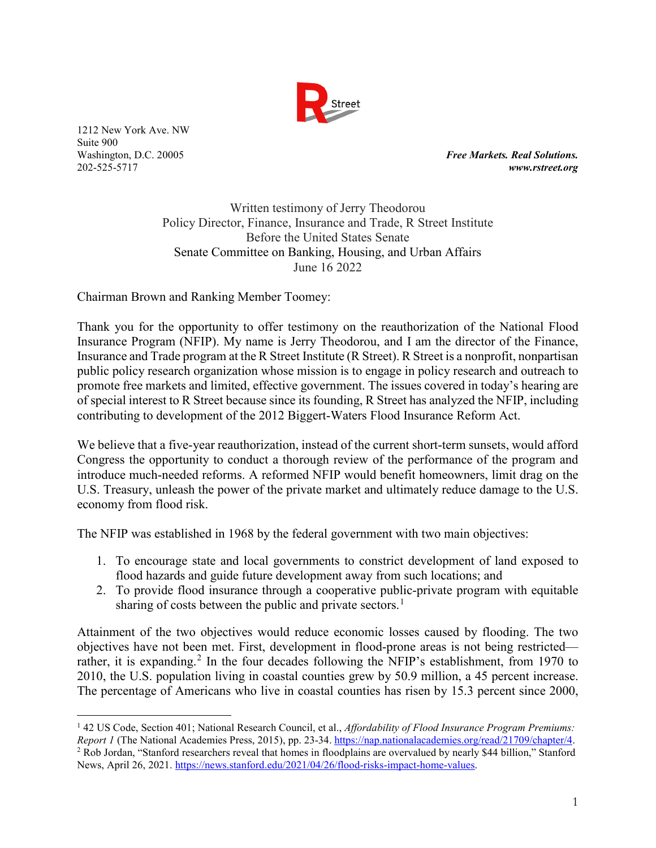

 $\overline{a}$ 

**Free Markets. Real Solutions.** 202-525-5717 *www.rstreet.org*

> Written testimony of Jerry Theodorou Policy Director, Finance, Insurance and Trade, R Street Institute Before the United States Senate Senate Committee on Banking, Housing, and Urban Affairs June 16 2022

Chairman Brown and Ranking Member Toomey:

Thank you for the opportunity to offer testimony on the reauthorization of the National Flood Insurance Program (NFIP). My name is Jerry Theodorou, and I am the director of the Finance, Insurance and Trade program at the R Street Institute (R Street). R Street is a nonprofit, nonpartisan public policy research organization whose mission is to engage in policy research and outreach to promote free markets and limited, effective government. The issues covered in today's hearing are of special interest to R Street because since its founding, R Street has analyzed the NFIP, including contributing to development of the 2012 Biggert-Waters Flood Insurance Reform Act.

We believe that a five-year reauthorization, instead of the current short-term sunsets, would afford Congress the opportunity to conduct a thorough review of the performance of the program and introduce much-needed reforms. A reformed NFIP would benefit homeowners, limit drag on the U.S. Treasury, unleash the power of the private market and ultimately reduce damage to the U.S. economy from flood risk.

The NFIP was established in 1968 by the federal government with two main objectives:

- 1. To encourage state and local governments to constrict development of land exposed to flood hazards and guide future development away from such locations; and
- 2. To provide flood insurance through a cooperative public-private program with equitable sharing of costs between the public and private sectors.<sup>[1](#page-0-0)</sup>

Attainment of the two objectives would reduce economic losses caused by flooding. The two objectives have not been met. First, development in flood-prone areas is not being restricted— rather, it is expanding.<sup>[2](#page-0-1)</sup> In the four decades following the NFIP's establishment, from 1970 to 2010, the U.S. population living in coastal counties grew by 50.9 million, a 45 percent increase. The percentage of Americans who live in coastal counties has risen by 15.3 percent since 2000,

<span id="page-0-1"></span><span id="page-0-0"></span><sup>1</sup> 42 US Code, Section 401; National Research Council, et al., *Affordability of Flood Insurance Program Premiums:*  Report 1 (The National Academies Press, 2015), pp. 23-34. https://nap.nationalacademies.org/read/21709/chapter/4.<br><sup>2</sup> Rob Jordan, "Stanford researchers reveal that homes in floodplains are overvalued by nearly \$44 billion, News, April 26, 2021[. https://news.stanford.edu/2021/04/26/flood-risks-impact-home-values.](https://news.stanford.edu/2021/04/26/flood-risks-impact-home-values)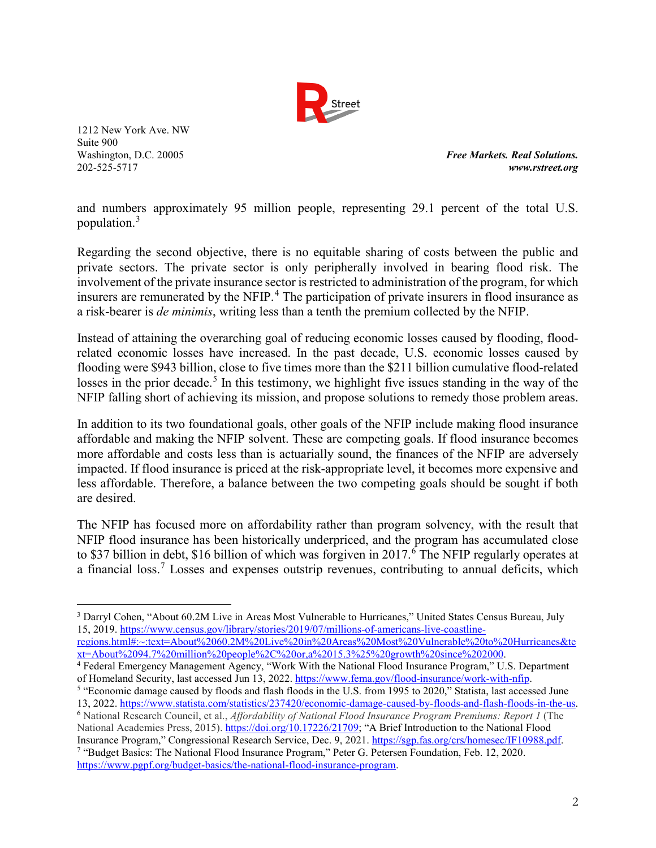

Washington, D.C. 20005 *Free Markets. Real Solutions.* 202-525-5717 *www.rstreet.org*

and numbers approximately 95 million people, representing 29.1 percent of the total U.S. population.[3](#page-1-0)

Regarding the second objective, there is no equitable sharing of costs between the public and private sectors. The private sector is only peripherally involved in bearing flood risk. The involvement of the private insurance sector is restricted to administration of the program, for which insurers are remunerated by the NFIP. [4](#page-1-1) The participation of private insurers in flood insurance as a risk-bearer is *de minimis*, writing less than a tenth the premium collected by the NFIP.

Instead of attaining the overarching goal of reducing economic losses caused by flooding, floodrelated economic losses have increased. In the past decade, U.S. economic losses caused by flooding were \$943 billion, close to five times more than the \$211 billion cumulative flood-related losses in the prior decade.<sup>[5](#page-1-2)</sup> In this testimony, we highlight five issues standing in the way of the NFIP falling short of achieving its mission, and propose solutions to remedy those problem areas.

In addition to its two foundational goals, other goals of the NFIP include making flood insurance affordable and making the NFIP solvent. These are competing goals. If flood insurance becomes more affordable and costs less than is actuarially sound, the finances of the NFIP are adversely impacted. If flood insurance is priced at the risk-appropriate level, it becomes more expensive and less affordable. Therefore, a balance between the two competing goals should be sought if both are desired.

The NFIP has focused more on affordability rather than program solvency, with the result that NFIP flood insurance has been historically underpriced, and the program has accumulated close to \$37 billion in debt, \$1[6](#page-1-3) billion of which was forgiven in 2017.<sup>6</sup> The NFIP regularly operates at a financial loss.<sup>[7](#page-1-4)</sup> Losses and expenses outstrip revenues, contributing to annual deficits, which

<span id="page-1-0"></span> $\overline{a}$ <sup>3</sup> Darryl Cohen, "About 60.2M Live in Areas Most Vulnerable to Hurricanes," United States Census Bureau, July 15, 2019. [https://www.census.gov/library/stories/2019/07/millions-of-americans-live-coastline-](https://www.census.gov/library/stories/2019/07/millions-of-americans-live-coastline-regions.html#:%7E:text=About%2060.2M%20Live%20in%20Areas%20Most%20Vulnerable%20to%20Hurricanes&text=About%2094.7%20million%20people%2C%20or,a%2015.3%25%20growth%20since%202000)

[regions.html#:~:text=About%2060.2M%20Live%20in%20Areas%20Most%20Vulnerable%20to%20Hurricanes&te](https://www.census.gov/library/stories/2019/07/millions-of-americans-live-coastline-regions.html#:%7E:text=About%2060.2M%20Live%20in%20Areas%20Most%20Vulnerable%20to%20Hurricanes&text=About%2094.7%20million%20people%2C%20or,a%2015.3%25%20growth%20since%202000)<br>xt=About%2094.7%20million%20people%2C%20or,a%2015.3%25%20growth%20since%202000.

<span id="page-1-1"></span><sup>&</sup>lt;sup>4</sup> Federal Emergency Management Agency, "Work With the National Flood Insurance Program," U.S. Department of Homeland Security, last accessed Jun 13, 2022. https://www.fema.gov/flood-insurance/work-with-nfip.

<span id="page-1-2"></span><sup>&</sup>lt;sup>5</sup> "Economic damage caused by floods and flash floods in the U.S. from 1995 to 2020," Statista, last accessed June 13, 2022. https://www.statista.com/statistics/237420/economic-damage-caused-by-floods-and-flash-floods-in

<span id="page-1-4"></span><span id="page-1-3"></span><sup>&</sup>lt;sup>6</sup> National Research Council, et al., Affordability of National Flood Insurance Program Premiums: Report 1 (The National Academies Press, 2015). [https://doi.org/10.17226/21709;](https://doi.org/10.17226/21709) "A Brief Introduction to the National Flood Insurance Program," Congressional Research Service, Dec. 9, 2021. [https://sgp.fas.org/crs/homesec/IF10988.pdf.](https://sgp.fas.org/crs/homesec/IF10988.pdf) 7 <sup>7</sup> "Budget Basics: The National Flood Insurance Program," Peter G. Petersen Foundation, Feb. 12, 2020. [https://www.pgpf.org/budget-basics/the-national-flood-insurance-program.](https://www.pgpf.org/budget-basics/the-national-flood-insurance-program)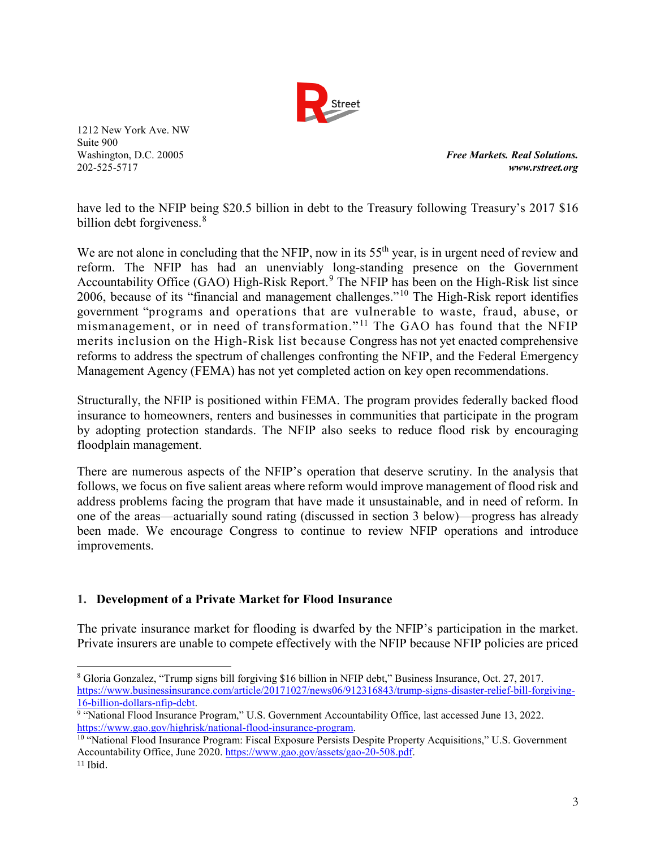

Washington, D.C. 20005 *Free Markets. Real Solutions.* 202-525-5717 *www.rstreet.org*

have led to the NFIP being \$20.5 billion in debt to the Treasury following Treasury's 2017 \$16 billion debt forgiveness.<sup>[8](#page-2-0)</sup>

We are not alone in concluding that the NFIP, now in its 55<sup>th</sup> year, is in urgent need of review and reform. The NFIP has had an unenviably long-standing presence on the Government Accountability Office (GAO) High-Risk Report.<sup>[9](#page-2-1)</sup> The NFIP has been on the High-Risk list since 2006, because of its "financial and management challenges."[10](#page-2-2) The High-Risk report identifies government "programs and operations that are vulnerable to waste, fraud, abuse, or mismanagement, or in need of transformation."<sup>[11](#page-2-3)</sup> The GAO has found that the NFIP merits inclusion on the High-Risk list because Congress has not yet enacted comprehensive reforms to address the spectrum of challenges confronting the NFIP, and the Federal Emergency Management Agency (FEMA) has not yet completed action on key open recommendations.

Structurally, the NFIP is positioned within FEMA. The program provides federally backed flood insurance to homeowners, renters and businesses in communities that participate in the program by adopting protection standards. The NFIP also seeks to reduce flood risk by encouraging floodplain management.

There are numerous aspects of the NFIP's operation that deserve scrutiny. In the analysis that follows, we focus on five salient areas where reform would improve management of flood risk and address problems facing the program that have made it unsustainable, and in need of reform. In one of the areas—actuarially sound rating (discussed in section 3 below)—progress has already been made. We encourage Congress to continue to review NFIP operations and introduce improvements.

### **1. Development of a Private Market for Flood Insurance**

The private insurance market for flooding is dwarfed by the NFIP's participation in the market. Private insurers are unable to compete effectively with the NFIP because NFIP policies are priced

<span id="page-2-0"></span> $\overline{a}$ <sup>8</sup> Gloria Gonzalez, "Trump signs bill forgiving \$16 billion in NFIP debt," Business Insurance, Oct. 27, 2017. https://www.businessinsurance.com/article/20171027/news06/912316843/trump-signs-disaster-relief-bill-forgiving-<br>16-billion-dollars-nfip-debt.

<span id="page-2-1"></span><sup>&</sup>lt;sup>9</sup> "National Flood Insurance Program," U.S. Government Accountability Office, last accessed June 13, 2022. [https://www.gao.gov/highrisk/national-flood-insurance-program.](https://www.gao.gov/highrisk/national-flood-insurance-program)<br><sup>10</sup> "National Flood Insurance Program: Fiscal Exposure Persists Despite Property Acquisitions," U.S. Government

<span id="page-2-3"></span><span id="page-2-2"></span>Accountability Office, June 2020. [https://www.gao.gov/assets/gao-20-508.pdf.](https://www.gao.gov/assets/gao-20-508.pdf) <sup>11</sup> Ibid.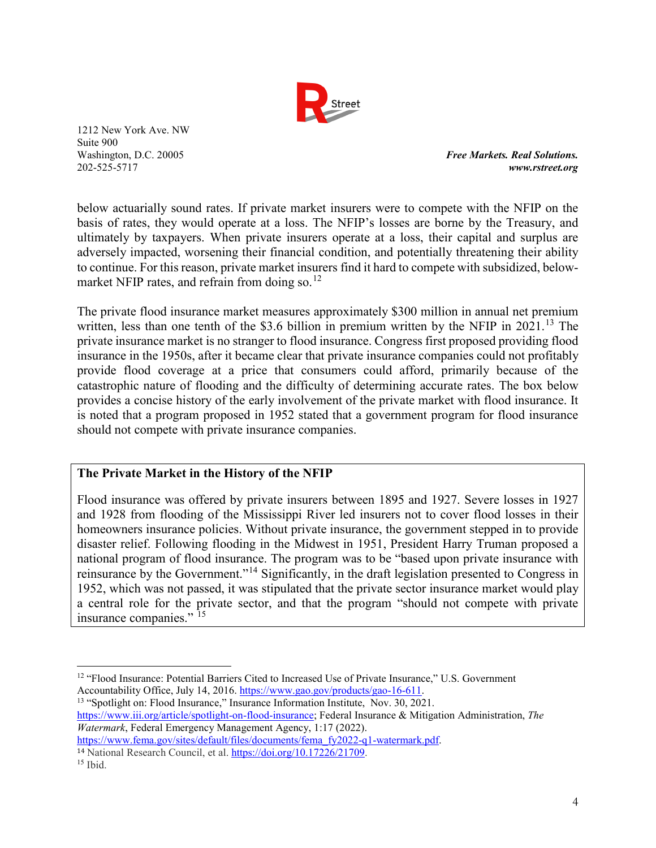

Washington, D.C. 20005 *Free Markets. Real Solutions.* 202-525-5717 *www.rstreet.org*

below actuarially sound rates. If private market insurers were to compete with the NFIP on the basis of rates, they would operate at a loss. The NFIP's losses are borne by the Treasury, and ultimately by taxpayers. When private insurers operate at a loss, their capital and surplus are adversely impacted, worsening their financial condition, and potentially threatening their ability to continue. For this reason, private market insurers find it hard to compete with subsidized, belowmarket NFIP rates, and refrain from doing so. $^{12}$  $^{12}$  $^{12}$ 

The private flood insurance market measures approximately \$300 million in annual net premium written, less than one tenth of the \$3.6 billion in premium written by the NFIP in 2021.<sup>[13](#page-3-1)</sup> The private insurance market is no stranger to flood insurance. Congress first proposed providing flood insurance in the 1950s, after it became clear that private insurance companies could not profitably provide flood coverage at a price that consumers could afford, primarily because of the catastrophic nature of flooding and the difficulty of determining accurate rates. The box below provides a concise history of the early involvement of the private market with flood insurance. It is noted that a program proposed in 1952 stated that a government program for flood insurance should not compete with private insurance companies.

### **The Private Market in the History of the NFIP**

Flood insurance was offered by private insurers between 1895 and 1927. Severe losses in 1927 and 1928 from flooding of the Mississippi River led insurers not to cover flood losses in their homeowners insurance policies. Without private insurance, the government stepped in to provide disaster relief. Following flooding in the Midwest in 1951, President Harry Truman proposed a national program of flood insurance. The program was to be "based upon private insurance with reinsurance by the Government."[14](#page-3-2) Significantly, in the draft legislation presented to Congress in 1952, which was not passed, it was stipulated that the private sector insurance market would play a central role for the private sector, and that the program "should not compete with private insurance companies." <sup>[15](#page-3-3)</sup>

<span id="page-3-1"></span>[https://www.iii.org/article/spotlight-on-flood-insurance;](https://www.iii.org/article/spotlight-on-flood-insurance) Federal Insurance & Mitigation Administration, *The Watermark*, Federal Emergency Management Agency, 1:17 (2022). [https://www.fema.gov/sites/default/files/documents/fema\\_fy2022-q1-watermark.pdf.](https://www.fema.gov/sites/default/files/documents/fema_fy2022-q1-watermark.pdf)

<span id="page-3-0"></span> $\overline{a}$ <sup>12</sup> "Flood Insurance: Potential Barriers Cited to Increased Use of Private Insurance," U.S. Government Accountability Office, July 14, 2016[. https://www.gao.gov/products/gao-16-611.](https://www.gao.gov/products/gao-16-611)<br><sup>13</sup> "Spotlight on: Flood Insurance," Insurance Information Institute, Nov. 30, 2021.

<span id="page-3-2"></span><sup>&</sup>lt;sup>14</sup> National Research Council, et al. [https://doi.org/10.17226/21709.](https://doi.org/10.17226/21709)

<span id="page-3-3"></span> $15$  Ibid.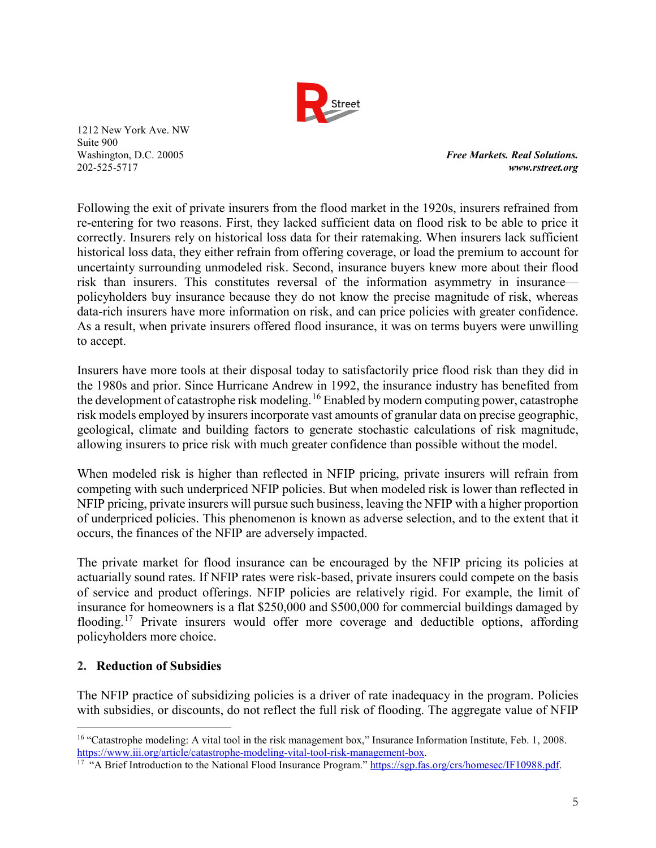

Washington, D.C. 20005 *Free Markets. Real Solutions.* 202-525-5717 *www.rstreet.org*

Following the exit of private insurers from the flood market in the 1920s, insurers refrained from re-entering for two reasons. First, they lacked sufficient data on flood risk to be able to price it correctly. Insurers rely on historical loss data for their ratemaking. When insurers lack sufficient historical loss data, they either refrain from offering coverage, or load the premium to account for uncertainty surrounding unmodeled risk. Second, insurance buyers knew more about their flood risk than insurers. This constitutes reversal of the information asymmetry in insurance policyholders buy insurance because they do not know the precise magnitude of risk, whereas data-rich insurers have more information on risk, and can price policies with greater confidence. As a result, when private insurers offered flood insurance, it was on terms buyers were unwilling to accept.

Insurers have more tools at their disposal today to satisfactorily price flood risk than they did in the 1980s and prior. Since Hurricane Andrew in 1992, the insurance industry has benefited from the development of catastrophe risk modeling.<sup>[16](#page-4-0)</sup> Enabled by modern computing power, catastrophe risk models employed by insurers incorporate vast amounts of granular data on precise geographic, geological, climate and building factors to generate stochastic calculations of risk magnitude, allowing insurers to price risk with much greater confidence than possible without the model.

When modeled risk is higher than reflected in NFIP pricing, private insurers will refrain from competing with such underpriced NFIP policies. But when modeled risk is lower than reflected in NFIP pricing, private insurers will pursue such business, leaving the NFIP with a higher proportion of underpriced policies. This phenomenon is known as adverse selection, and to the extent that it occurs, the finances of the NFIP are adversely impacted.

The private market for flood insurance can be encouraged by the NFIP pricing its policies at actuarially sound rates. If NFIP rates were risk-based, private insurers could compete on the basis of service and product offerings. NFIP policies are relatively rigid. For example, the limit of insurance for homeowners is a flat \$250,000 and \$500,000 for commercial buildings damaged by flooding.<sup>[17](#page-4-1)</sup> Private insurers would offer more coverage and deductible options, affording policyholders more choice.

### **2. Reduction of Subsidies**

The NFIP practice of subsidizing policies is a driver of rate inadequacy in the program. Policies with subsidies, or discounts, do not reflect the full risk of flooding. The aggregate value of NFIP

<span id="page-4-0"></span> $\overline{a}$ <sup>16</sup> "Catastrophe modeling: A vital tool in the risk management box," Insurance Information Institute, Feb. 1, 2008.<br>https://www.iii.org/article/catastrophe-modeling-vital-tool-risk-management-box.

<span id="page-4-1"></span><sup>&</sup>lt;sup>17</sup> "A Brief Introduction to the National Flood Insurance Program.[" https://sgp.fas.org/crs/homesec/IF10988.pdf.](https://sgp.fas.org/crs/homesec/IF10988.pdf)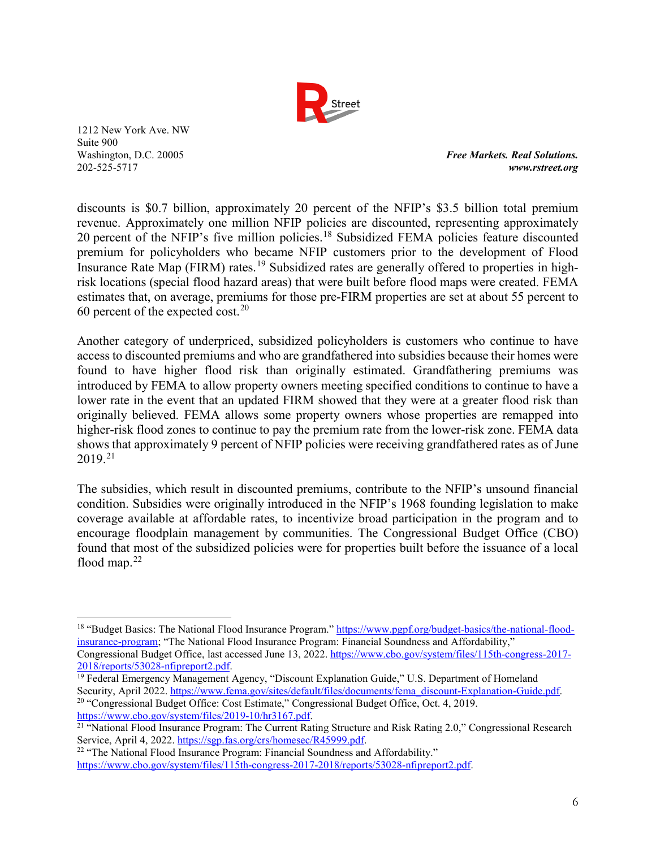

 $\overline{a}$ 

Washington, D.C. 20005 *Free Markets. Real Solutions.* 202-525-5717 *www.rstreet.org*

discounts is \$0.7 billion, approximately 20 percent of the NFIP's \$3.5 billion total premium revenue. Approximately one million NFIP policies are discounted, representing approximately 20 percent of the NFIP's five million policies.<sup>[18](#page-5-0)</sup> Subsidized FEMA policies feature discounted premium for policyholders who became NFIP customers prior to the development of Flood Insurance Rate Map (FIRM) rates.<sup>[19](#page-5-1)</sup> Subsidized rates are generally offered to properties in highrisk locations (special flood hazard areas) that were built before flood maps were created. FEMA estimates that, on average, premiums for those pre-FIRM properties are set at about 55 percent to 60 percent of the expected cost.<sup>[20](#page-5-2)</sup>

Another category of underpriced, subsidized policyholders is customers who continue to have access to discounted premiums and who are grandfathered into subsidies because their homes were found to have higher flood risk than originally estimated. Grandfathering premiums was introduced by FEMA to allow property owners meeting specified conditions to continue to have a lower rate in the event that an updated FIRM showed that they were at a greater flood risk than originally believed. FEMA allows some property owners whose properties are remapped into higher-risk flood zones to continue to pay the premium rate from the lower-risk zone. FEMA data shows that approximately 9 percent of NFIP policies were receiving grandfathered rates as of June  $2019.21$  $2019.21$ 

The subsidies, which result in discounted premiums, contribute to the NFIP's unsound financial condition. Subsidies were originally introduced in the NFIP's 1968 founding legislation to make coverage available at affordable rates, to incentivize broad participation in the program and to encourage floodplain management by communities. The Congressional Budget Office (CBO) found that most of the subsidized policies were for properties built before the issuance of a local flood map. $22$ 

<span id="page-5-0"></span><sup>&</sup>lt;sup>18</sup> "Budget Basics: The National Flood Insurance Program." [https://www.pgpf.org/budget-basics/the-national-flood](https://www.pgpf.org/budget-basics/the-national-flood-insurance-program)[insurance-program;](https://www.pgpf.org/budget-basics/the-national-flood-insurance-program) "The National Flood Insurance Program: Financial Soundness and Affordability," Congressional Budget Office, last accessed June 13, 2022. [https://www.cbo.gov/system/files/115th-congress-2017-](https://www.cbo.gov/system/files/115th-congress-2017-2018/reports/53028-nfipreport2.pdf)<br>2018/reports/53028-nfipreport2.pdf.

<span id="page-5-1"></span><sup>&</sup>lt;sup>19</sup> Federal Emergency Management Agency, "Discount Explanation Guide," U.S. Department of Homeland Security, April 2022. [https://www.fema.gov/sites/default/files/documents/fema\\_discount-Explanation-Guide.pdf.](https://www.fema.gov/sites/default/files/documents/fema_discount-Explanation-Guide.pdf) 20 "Congressional Budget Office: Cost Estimate," Congressional Budget Office, Oct. 4, 2019.

<span id="page-5-3"></span><span id="page-5-2"></span>[https://www.cbo.gov/system/files/2019-10/hr3167.pdf.](https://www.cbo.gov/system/files/2019-10/hr3167.pdf)<br><sup>21</sup> "National Flood Insurance Program: The Current Rating Structure and Risk Rating 2.0," Congressional Research Service, April 4, 2022[. https://sgp.fas.org/crs/homesec/R45999.pdf.](https://sgp.fas.org/crs/homesec/R45999.pdf)<br><sup>22</sup> "The National Flood Insurance Program: Financial Soundness and Affordability."

<span id="page-5-4"></span>[https://www.cbo.gov/system/files/115th-congress-2017-2018/reports/53028-nfipreport2.pdf.](https://www.cbo.gov/system/files/115th-congress-2017-2018/reports/53028-nfipreport2.pdf)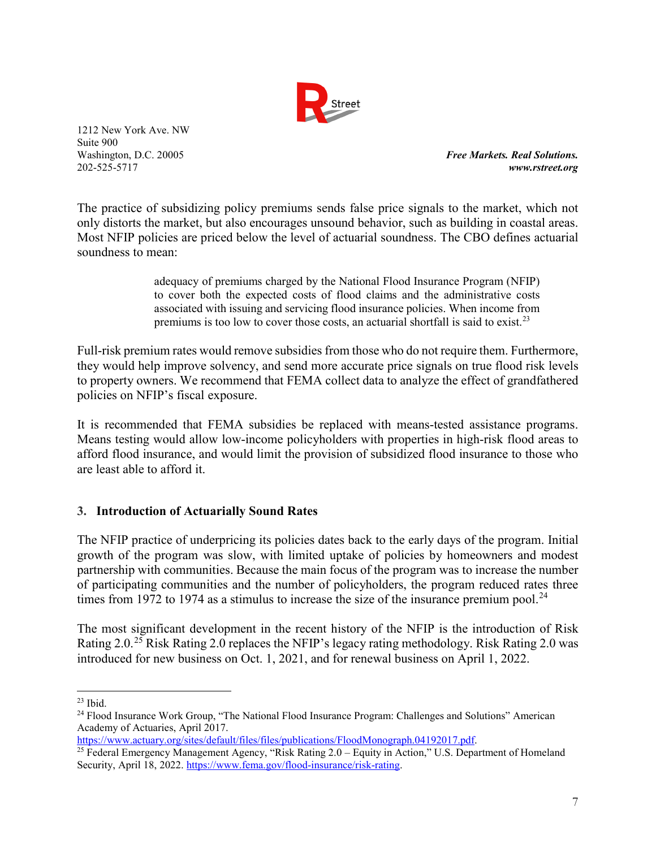

**Free Markets. Real Solutions.** 202-525-5717 *www.rstreet.org*

The practice of subsidizing policy premiums sends false price signals to the market, which not only distorts the market, but also encourages unsound behavior, such as building in coastal areas. Most NFIP policies are priced below the level of actuarial soundness. The CBO defines actuarial soundness to mean:

> adequacy of premiums charged by the National Flood Insurance Program (NFIP) to cover both the expected costs of flood claims and the administrative costs associated with issuing and servicing flood insurance policies. When income from premiums is too low to cover those costs, an actuarial shortfall is said to exist.<sup>[23](#page-6-0)</sup>

Full-risk premium rates would remove subsidies from those who do not require them. Furthermore, they would help improve solvency, and send more accurate price signals on true flood risk levels to property owners. We recommend that FEMA collect data to analyze the effect of grandfathered policies on NFIP's fiscal exposure.

It is recommended that FEMA subsidies be replaced with means-tested assistance programs. Means testing would allow low-income policyholders with properties in high-risk flood areas to afford flood insurance, and would limit the provision of subsidized flood insurance to those who are least able to afford it.

### **3. Introduction of Actuarially Sound Rates**

The NFIP practice of underpricing its policies dates back to the early days of the program. Initial growth of the program was slow, with limited uptake of policies by homeowners and modest partnership with communities. Because the main focus of the program was to increase the number of participating communities and the number of policyholders, the program reduced rates three times from 1972 to 1974 as a stimulus to increase the size of the insurance premium pool.<sup>[24](#page-6-1)</sup>

The most significant development in the recent history of the NFIP is the introduction of Risk Rating 2.0.[25](#page-6-2) Risk Rating 2.0 replaces the NFIP's legacy rating methodology. Risk Rating 2.0 was introduced for new business on Oct. 1, 2021, and for renewal business on April 1, 2022.

 $\overline{a}$ 

<span id="page-6-1"></span><span id="page-6-0"></span><sup>&</sup>lt;sup>23</sup> Ibid.<br><sup>24</sup> Flood Insurance Work Group, "The National Flood Insurance Program: Challenges and Solutions" American Academy of Actuaries, April 2017.<br>https://www.actuary.org/sites/default/files/files/publications/FloodMonograph.04192017.pdf.

<span id="page-6-2"></span><sup>&</sup>lt;sup>25</sup> Federal Emergency Management Agency, "Risk Rating  $2.0 -$  Equity in Action," U.S. Department of Homeland Security, April 18, 2022. [https://www.fema.gov/flood-insurance/risk-rating.](https://www.fema.gov/flood-insurance/risk-rating)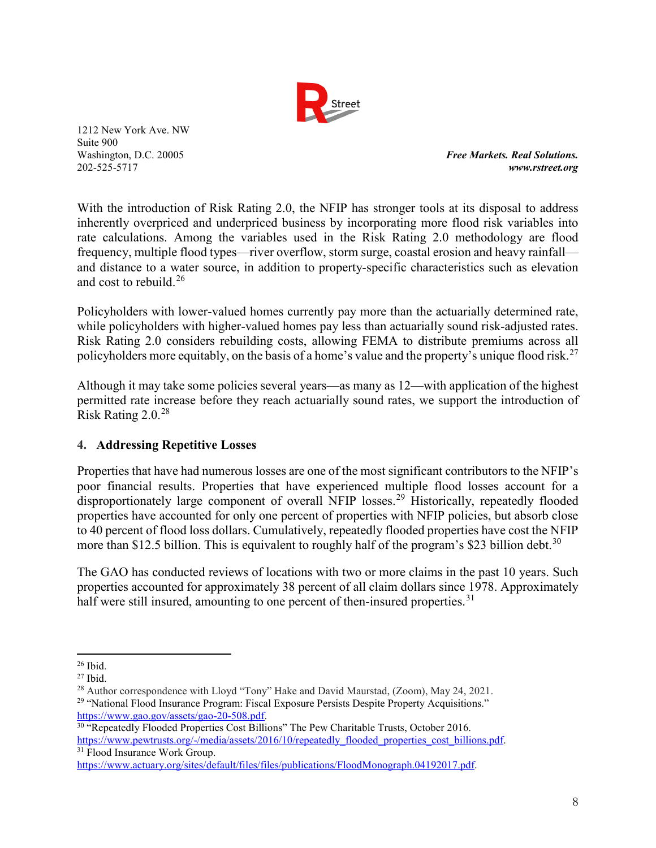

Washington, D.C. 20005 *Free Markets. Real Solutions.* 202-525-5717 *www.rstreet.org*

With the introduction of Risk Rating 2.0, the NFIP has stronger tools at its disposal to address inherently overpriced and underpriced business by incorporating more flood risk variables into rate calculations. Among the variables used in the Risk Rating 2.0 methodology are flood frequency, multiple flood types—river overflow, storm surge, coastal erosion and heavy rainfall and distance to a water source, in addition to property-specific characteristics such as elevation and cost to rebuild.<sup>[26](#page-7-0)</sup>

Policyholders with lower-valued homes currently pay more than the actuarially determined rate, while policyholders with higher-valued homes pay less than actuarially sound risk-adjusted rates. Risk Rating 2.0 considers rebuilding costs, allowing FEMA to distribute premiums across all policyholders more equitably, on the basis of a home's value and the property's unique flood risk.<sup>[27](#page-7-1)</sup>

Although it may take some policies several years—as many as 12—with application of the highest permitted rate increase before they reach actuarially sound rates, we support the introduction of Risk Rating 2.0.[28](#page-7-2)

## **4. Addressing Repetitive Losses**

Properties that have had numerous losses are one of the most significant contributors to the NFIP's poor financial results. Properties that have experienced multiple flood losses account for a disproportionately large component of overall NFIP losses.<sup>[29](#page-7-3)</sup> Historically, repeatedly flooded properties have accounted for only one percent of properties with NFIP policies, but absorb close to 40 percent of flood loss dollars. Cumulatively, repeatedly flooded properties have cost the NFIP more than \$12.5 billion. This is equivalent to roughly half of the program's \$23 billion debt.<sup>[30](#page-7-4)</sup>

The GAO has conducted reviews of locations with two or more claims in the past 10 years. Such properties accounted for approximately 38 percent of all claim dollars since 1978. Approximately half were still insured, amounting to one percent of then-insured properties.<sup>[31](#page-7-5)</sup>

<span id="page-7-0"></span> $26$  Ibid.

<span id="page-7-1"></span> $27$  Ibid.

<span id="page-7-2"></span><sup>&</sup>lt;sup>28</sup> Author correspondence with Lloyd "Tony" Hake and David Maurstad, (Zoom), May 24, 2021.

<span id="page-7-3"></span><sup>&</sup>lt;sup>29</sup> "National Flood Insurance Program: Fiscal Exposure Persists Despite Property Acquisitions." [https://www.gao.gov/assets/gao-20-508.pdf.](https://www.gao.gov/assets/gao-20-508.pdf)<br><sup>30</sup> "Repeatedly Flooded Properties Cost Billions" The Pew Charitable Trusts, October 2016.

<span id="page-7-4"></span>[https://www.pewtrusts.org/-/media/assets/2016/10/repeatedly\\_flooded\\_properties\\_cost\\_billions.pdf.](https://www.pewtrusts.org/-/media/assets/2016/10/repeatedly_flooded_properties_cost_billions.pdf) 31 Flood Insurance Work Group.

<span id="page-7-5"></span>[https://www.actuary.org/sites/default/files/files/publications/FloodMonograph.04192017.pdf.](https://www.actuary.org/sites/default/files/files/publications/FloodMonograph.04192017.pdf)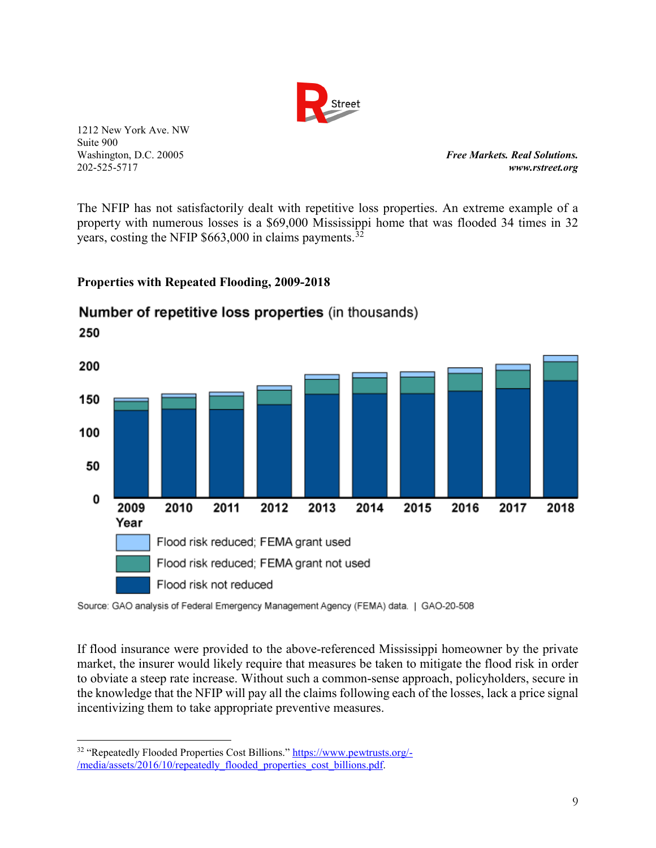

**Free Markets. Real Solutions.** 202-525-5717 *www.rstreet.org*

The NFIP has not satisfactorily dealt with repetitive loss properties. An extreme example of a property with numerous losses is a \$69,000 Mississippi home that was flooded 34 times in 32 years, costing the NFIP  $$663,000$  in claims payments.<sup>[32](#page-8-0)</sup>

**Properties with Repeated Flooding, 2009-2018** 



# Number of repetitive loss properties (in thousands)

Source: GAO analysis of Federal Emergency Management Agency (FEMA) data. | GAO-20-508

If flood insurance were provided to the above-referenced Mississippi homeowner by the private market, the insurer would likely require that measures be taken to mitigate the flood risk in order to obviate a steep rate increase. Without such a common-sense approach, policyholders, secure in the knowledge that the NFIP will pay all the claims following each of the losses, lack a price signal incentivizing them to take appropriate preventive measures.

<span id="page-8-0"></span> $\overline{a}$ 32 "Repeatedly Flooded Properties Cost Billions." [https://www.pewtrusts.org/-](https://www.pewtrusts.org/-/media/assets/2016/10/repeatedly_flooded_properties_cost_billions.pdf) [/media/assets/2016/10/repeatedly\\_flooded\\_properties\\_cost\\_billions.pdf.](https://www.pewtrusts.org/-/media/assets/2016/10/repeatedly_flooded_properties_cost_billions.pdf)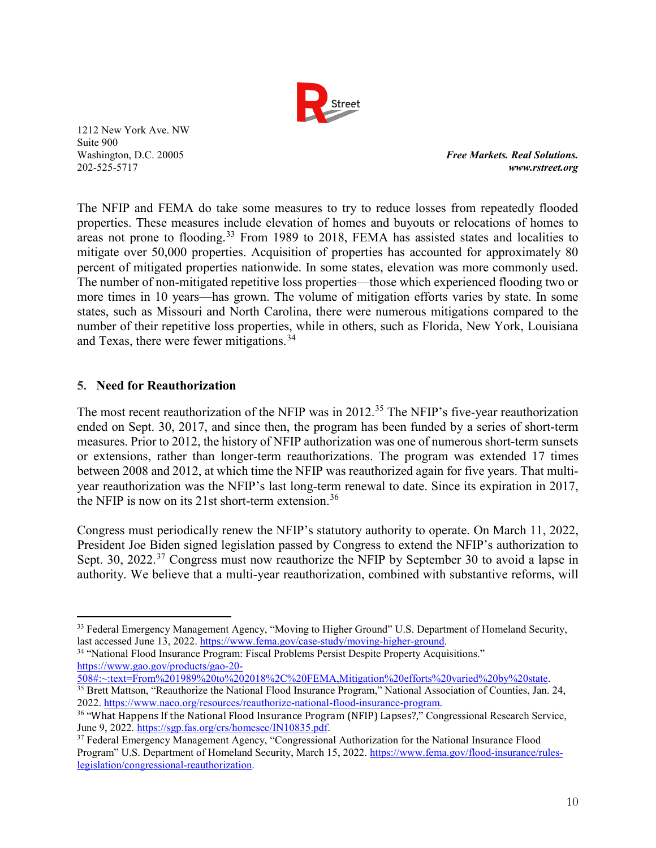

Washington, D.C. 20005 *Free Markets. Real Solutions.* 202-525-5717 *www.rstreet.org*

The NFIP and FEMA do take some measures to try to reduce losses from repeatedly flooded properties. These measures include elevation of homes and buyouts or relocations of homes to areas not prone to flooding.<sup>[33](#page-9-0)</sup> From 1989 to 2018, FEMA has assisted states and localities to mitigate over 50,000 properties. Acquisition of properties has accounted for approximately 80 percent of mitigated properties nationwide. In some states, elevation was more commonly used. The number of non-mitigated repetitive loss properties—those which experienced flooding two or more times in 10 years—has grown. The volume of mitigation efforts varies by state. In some states, such as Missouri and North Carolina, there were numerous mitigations compared to the number of their repetitive loss properties, while in others, such as Florida, New York, Louisiana and Texas, there were fewer mitigations.<sup>[34](#page-9-1)</sup>

### **5. Need for Reauthorization**

The most recent reauthorization of the NFIP was in 2012.<sup>[35](#page-9-2)</sup> The NFIP's five-year reauthorization ended on Sept. 30, 2017, and since then, the program has been funded by a series of short-term measures. Prior to 2012, the history of NFIP authorization was one of numerous short-term sunsets or extensions, rather than longer-term reauthorizations. The program was extended 17 times between 2008 and 2012, at which time the NFIP was reauthorized again for five years. That multiyear reauthorization was the NFIP's last long-term renewal to date. Since its expiration in 2017, the NFIP is now on its 21st short-term extension.<sup>[36](#page-9-3)</sup>

Congress must periodically renew the NFIP's statutory authority to operate. On March 11, 2022, President Joe Biden signed legislation passed by Congress to extend the NFIP's authorization to Sept. 30, 2022.<sup>[37](#page-9-4)</sup> Congress must now reauthorize the NFIP by September 30 to avoid a lapse in authority. We believe that a multi-year reauthorization, combined with substantive reforms, will

<span id="page-9-1"></span><sup>34</sup> "National Flood Insurance Program: Fiscal Problems Persist Despite Property Acquisitions." [https://www.gao.gov/products/gao-20-](https://www.gao.gov/products/gao-20-508#:%7E:text=From%201989%20to%202018%2C%20FEMA,Mitigation%20efforts%20varied%20by%20state)<br>508#:~:text=From%201989%20to%202018%2C%20FEMA,Mitigation%20efforts%20varied%20by%20state.

<span id="page-9-0"></span> $\overline{a}$ <sup>33</sup> Federal Emergency Management Agency, "Moving to Higher Ground" U.S. Department of Homeland Security, last accessed June 13, 2022. https://www.fema.gov/case-study/moving-higher-ground.

<span id="page-9-2"></span> $\frac{35}{35}$  Brett Mattson, "Reauthorize the National Flood Insurance Program," National Association of Counties, Jan. 24, 2022. https://www.naco.org/resources/reauthorize-national-flood-insurance-program.

<span id="page-9-3"></span><sup>&</sup>lt;sup>36</sup> "What Happens If the National Flood Insurance Program (NFIP) Lapses?," Congressional Research Service, June 9, 2022. https://sgp.fas.org/crs/homesec/IN10835.pdf.

<span id="page-9-4"></span><sup>&</sup>lt;sup>37</sup> Federal Emergency Management Agency, "Congressional Authorization for the National Insurance Flood Program" U.S. Department of Homeland Security, March 15, 2022. [https://www.fema.gov/flood-insurance/rules](https://www.fema.gov/flood-insurance/rules-legislation/congressional-reauthorization)[legislation/congressional-reauthorization.](https://www.fema.gov/flood-insurance/rules-legislation/congressional-reauthorization)